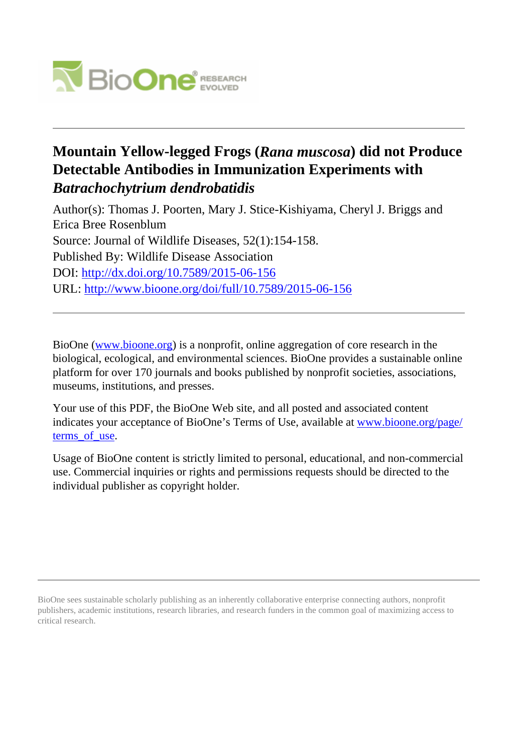

## **Mountain Yellow-legged Frogs (***Rana muscosa***) did not Produce Detectable Antibodies in Immunization Experiments with** *Batrachochytrium dendrobatidis*

Author(s): Thomas J. Poorten, Mary J. Stice-Kishiyama, Cheryl J. Briggs and Erica Bree Rosenblum Source: Journal of Wildlife Diseases, 52(1):154-158. Published By: Wildlife Disease Association DOI: http://dx.doi.org/10.7589/2015-06-156 URL: http://www.bioone.org/doi/full/10.7589/2015-06-156

BioOne (www.bioone.org) is a nonprofit, online aggregation of core research in the biological, ecological, and environmental sciences. BioOne provides a sustainable online platform for over 170 journals and books published by nonprofit societies, associations, museums, institutions, and presses.

Your use of this PDF, the BioOne Web site, and all posted and associated content indicates your acceptance of BioOne's Terms of Use, available at www.bioone.org/page/ terms of use.

Usage of BioOne content is strictly limited to personal, educational, and non-commercial use. Commercial inquiries or rights and permissions requests should be directed to the individual publisher as copyright holder.

BioOne sees sustainable scholarly publishing as an inherently collaborative enterprise connecting authors, nonprofit publishers, academic institutions, research libraries, and research funders in the common goal of maximizing access to critical research.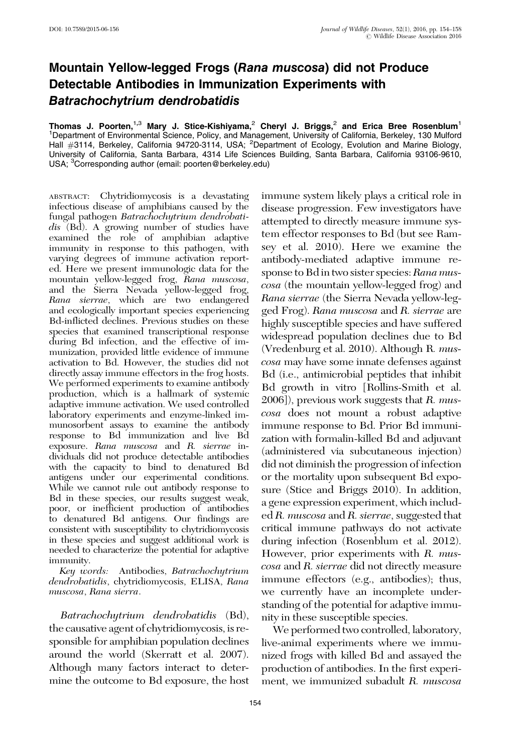## Mountain Yellow-legged Frogs (Rana muscosa) did not Produce Detectable Antibodies in Immunization Experiments with Batrachochytrium dendrobatidis

Thomas J. Poorten,<sup>1,3</sup> Mary J. Stice-Kishiyama,<sup>2</sup> Cheryl J. Briggs,<sup>2</sup> and Erica Bree Rosenblum<sup>1</sup> <sup>1</sup>Department of Environmental Science, Policy, and Management, University of California, Berkeley, 130 Mulford<br>Hall #3114, Berkeley, California 94720-3114, USA; <sup>2</sup>Department of Ecology, Evolution and Marine Biology, University of California, Santa Barbara, 4314 Life Sciences Building, Santa Barbara, California 93106-9610, USA; <sup>3</sup>Corresponding author (email: poorten@berkeley.edu)

ABSTRACT: Chytridiomycosis is a devastating infectious disease of amphibians caused by the fungal pathogen Batrachochytrium dendrobati‐ dis (Bd). A growing number of studies have examined the role of amphibian adaptive immunity in response to this pathogen, with varying degrees of immune activation report‐ ed. Here we present immunologic data for the mountain yellow-legged frog, Rana muscosa, and the Sierra Nevada yellow-legged frog, Rana sierrae, which are two endangered and ecologically important species experiencing Bd-inflicted declines. Previous studies on these species that examined transcriptional response during Bd infection, and the effective of im‐ munization, provided little evidence of immune activation to Bd. However, the studies did not directly assay immune effectors in the frog hosts. We performed experiments to examine antibody production, which is a hallmark of systemic adaptive immune activation. We used controlled laboratory experiments and enzyme-linked im‐ munosorbent assays to examine the antibody response to Bd immunization and live Bd exposure. Rana muscosa and R. sierrae in‐ dividuals did not produce detectable antibodies with the capacity to bind to denatured Bd antigens under our experimental conditions. While we cannot rule out antibody response to Bd in these species, our results suggest weak, poor, or inefficient production of antibodies to denatured Bd antigens. Our findings are consistent with susceptibility to chytridiomycosis in these species and suggest additional work is needed to characterize the potential for adaptive immunity.

Key words: Antibodies, Batrachochytrium dendrobatidis, chytridiomycosis, ELISA, Rana muscosa, Rana sierra.

Batrachochytrium dendrobatidis (Bd), the causative agent of chytridiomycosis, is responsible for amphibian population declines around the world (Skerratt et al. 2007). Although many factors interact to deter‐ mine the outcome to Bd exposure, the host

154

immune system likely plays a critical role in disease progression. Few investigators have attempted to directly measure immune system effector responses to Bd (but see Ramsey et al. 2010). Here we examine the antibody-mediated adaptive immune response to Bd in two sister species: Rana muscosa (the mountain yellow-legged frog) and Rana sierrae (the Sierra Nevada yellow-legged Frog). Rana muscosa and R. sierrae are highly susceptible species and have suffered widespread population declines due to Bd (Vredenburg et al. 2010). Although R. muscosa may have some innate defenses against Bd (i.e., antimicrobial peptides that inhibit Bd growth in vitro [Rollins-Smith et al.  $2006$ ]), previous work suggests that R. muscosa does not mount a robust adaptive immune response to Bd. Prior Bd immunization with formalin-killed Bd and adjuvant (administered via subcutaneous injection) did not diminish the progression of infection or the mortality upon subsequent Bd exposure (Stice and Briggs 2010). In addition, a gene expression experiment, which included R. muscosa and R. sierrae, suggested that critical immune pathways do not activate during infection (Rosenblum et al. 2012). However, prior experiments with R. muscosa and R. sierrae did not directly measure immune effectors (e.g., antibodies); thus, we currently have an incomplete understanding of the potential for adaptive immunity in these susceptible species.

We performed two controlled, laboratory, live-animal experiments where we immunized frogs with killed Bd and assayed the production of antibodies. In the first experiment, we immunized subadult R. muscosa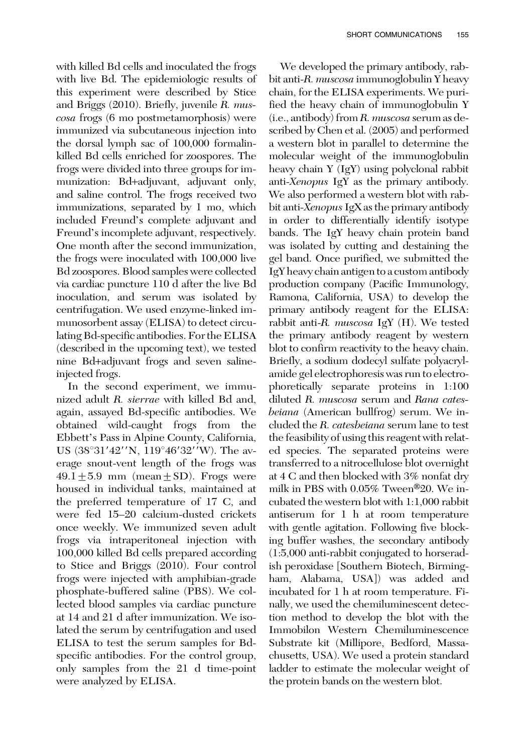with killed Bd cells and inoculated the frogs with live Bd. The epidemiologic results of this experiment were described by Stice and Briggs (2010). Briefly, juvenile R. muscosa frogs (6 mo postmetamorphosis) were immunized via subcutaneous injection into the dorsal lymph sac of 100,000 formalinkilled Bd cells enriched for zoospores. The frogs were divided into three groups for immunization: Bd+adjuvant, adjuvant only, and saline control. The frogs received two immunizations, separated by 1 mo, which included Freund's complete adjuvant and Freund's incomplete adjuvant, respectively. One month after the second immunization, the frogs were inoculated with 100,000 live Bd zoospores. Blood samples were collected via cardiac puncture 110 d after the live Bd inoculation, and serum was isolated by centrifugation. We used enzyme-linked immunosorbent assay (ELISA) to detect circulating Bd-specific antibodies. For the ELISA (described in the upcoming text), we tested nine Bd+adjuvant frogs and seven salineinjected frogs.

In the second experiment, we immunized adult R. sierrae with killed Bd and, again, assayed Bd-specific antibodies. We obtained wild-caught frogs from the Ebbett's Pass in Alpine County, California, US (38°31′42′′N, 119°46′32′′W). The average snout-vent length of the frogs was  $49.1 \pm 5.9$  mm (mean  $\pm$  SD). Frogs were housed in individual tanks, maintained at the preferred temperature of 17 C, and were fed 15–20 calcium-dusted crickets once weekly. We immunized seven adult frogs via intraperitoneal injection with 100,000 killed Bd cells prepared according to Stice and Briggs (2010). Four control frogs were injected with amphibian-grade phosphate-buffered saline (PBS). We collected blood samples via cardiac puncture at 14 and 21 d after immunization. We isolated the serum by centrifugation and used ELISA to test the serum samples for Bdspecific antibodies. For the control group, only samples from the 21 d time-point were analyzed by ELISA.

We developed the primary antibody, rabbit anti-R. muscosa immunoglobulin Y heavy chain, for the ELISA experiments. We purified the heavy chain of immunoglobulin Y (i.e., antibody) from R. muscosa serum as described by Chen et al. (2005) and performed a western blot in parallel to determine the molecular weight of the immunoglobulin heavy chain Y (IgY) using polyclonal rabbit anti-Xenopus IgY as the primary antibody. We also performed a western blot with rabbit anti-*Xenopus* IgX as the primary antibody in order to differentially identify isotype bands. The IgY heavy chain protein band was isolated by cutting and destaining the gel band. Once purified, we submitted the IgY heavy chain antigen to a custom antibody production company (Pacific Immunology, Ramona, California, USA) to develop the primary antibody reagent for the ELISA: rabbit anti-R. *muscosa* IgY (H). We tested the primary antibody reagent by western blot to confirm reactivity to the heavy chain. Briefly, a sodium dodecyl sulfate polyacrylamide gel electrophoresis was run to electrophoretically separate proteins in 1:100 diluted R. muscosa serum and Rana catesbeiana (American bullfrog) serum. We included the R. catesbeiana serum lane to test the feasibility of using this reagent with related species. The separated proteins were transferred to a nitrocellulose blot overnight at 4 C and then blocked with 3% nonfat dry milk in PBS with  $0.05\%$  Tween<sup>®</sup>20. We incubated the western blot with 1:1,000 rabbit antiserum for 1 h at room temperature with gentle agitation. Following five blocking buffer washes, the secondary antibody (1:5,000 anti-rabbit conjugated to horseradish peroxidase [Southern Biotech, Birmingham, Alabama, USA]) was added and incubated for 1 h at room temperature. Finally, we used the chemiluminescent detection method to develop the blot with the Immobilon Western Chemiluminescence Substrate kit (Millipore, Bedford, Massachusetts, USA). We used a protein standard ladder to estimate the molecular weight of the protein bands on the western blot.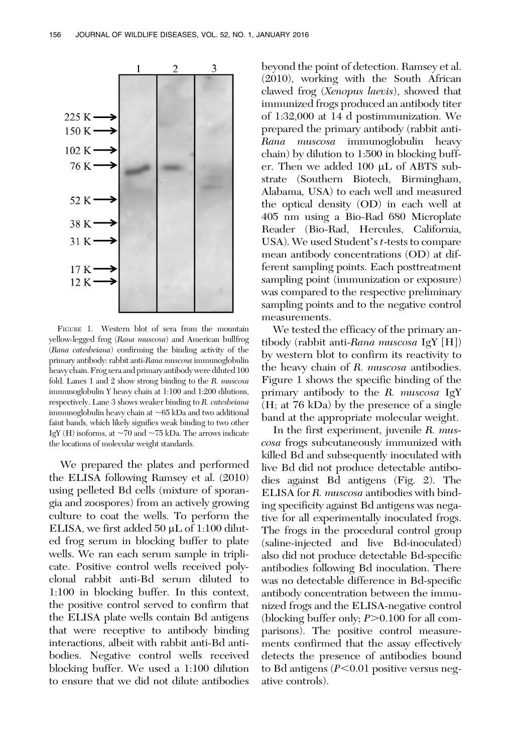

FIGURE 1. Western blot of sera from the mountain yellow-legged frog (Rana muscosa) and American bullfrog (Rana catesbeiana) confirming the binding activity of the primary antibody: rabbit anti-Rana muscosa immunoglobulin heavy chain. Frog sera and primary antibody were diluted 100 fold. Lanes 1 and 2 show strong binding to the R. muscosa immunoglobulin Y heavy chain at 1:100 and 1:200 dilutions, respectively. Lane 3 shows weaker binding to R. catesbeiana immunoglobulin heavy chain at  $\sim$  65 kDa and two additional faint bands, which likely signifies weak binding to two other IgY (H) isoforms, at  $\sim$  70 and  $\sim$  75 kDa. The arrows indicate the locations of molecular weight standards.

We prepared the plates and performed the ELISA following Ramsey et al. (2010) using pelleted Bd cells (mixture of sporangia and zoospores) from an actively growing culture to coat the wells. To perform the ELISA, we first added 50  $\mu$ L of 1:100 diluted frog serum in blocking buffer to plate wells. We ran each serum sample in triplicate. Positive control wells received polyclonal rabbit anti-Bd serum diluted to 1:100 in blocking buffer. In this context, the positive control served to confirm that the ELISA plate wells contain Bd antigens that were receptive to antibody binding interactions, albeit with rabbit anti-Bd antibodies. Negative control wells received blocking buffer. We used a 1:100 dilution to ensure that we did not dilute antibodies beyond the point of detection. Ramsey et al. (2010), working with the South African clawed frog (Xenopus laevis), showed that immunized frogs produced an antibody titer of 1:32,000 at 14 d postimmunization. We prepared the primary antibody (rabbit anti-Rana muscosa immunoglobulin heavy chain) by dilution to 1:500 in blocking buffer. Then we added 100 µL of ABTS substrate (Southern Biotech, Birmingham, Alabama, USA) to each well and measured the optical density (OD) in each well at 405 nm using a Bio-Rad 680 Microplate Reader (Bio-Rad, Hercules, California, USA). We used Student's t-tests to compare mean antibody concentrations (OD) at different sampling points. Each posttreatment sampling point (immunization or exposure) was compared to the respective preliminary sampling points and to the negative control measurements.

We tested the efficacy of the primary antibody (rabbit anti-Rana muscosa IgY [H]) by western blot to confirm its reactivity to the heavy chain of R. muscosa antibodies. Figure 1 shows the specific binding of the primary antibody to the R. muscosa IgY (H; at 76 kDa) by the presence of a single band at the appropriate molecular weight.

In the first experiment, juvenile R. muscosa frogs subcutaneously immunized with killed Bd and subsequently inoculated with live Bd did not produce detectable antibodies against Bd antigens (Fig. 2). The ELISA for R. muscosa antibodies with binding specificity against Bd antigens was negative for all experimentally inoculated frogs. The frogs in the procedural control group (saline-injected and live Bd-inoculated) also did not produce detectable Bd-specific antibodies following Bd inoculation. There was no detectable difference in Bd-specific antibody concentration between the immunized frogs and the ELISA-negative control (blocking buffer only;  $P > 0.100$  for all comparisons). The positive control measurements confirmed that the assay effectively detects the presence of antibodies bound to Bd antigens  $(P<0.01$  positive versus negative controls).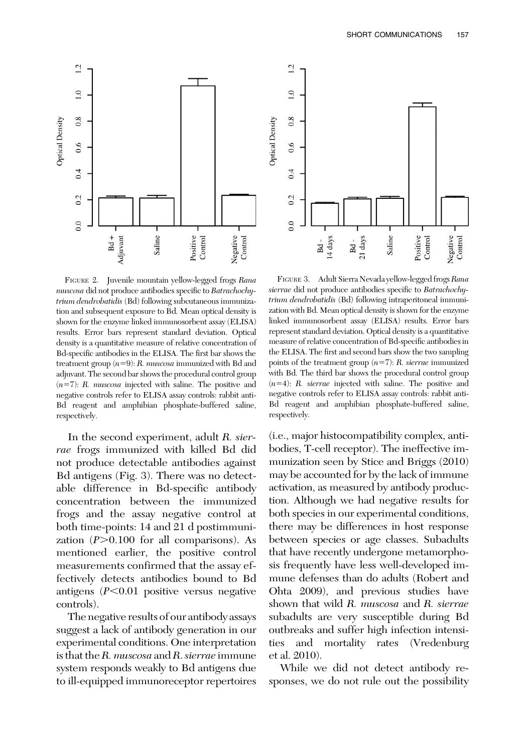

FIGURE 2. Juvenile mountain yellow-legged frogs Rana muscosa did not produce antibodies specific to Batrachochytrium dendrobatidis (Bd) following subcutaneous immunization and subsequent exposure to Bd. Mean optical density is shown for the enzyme linked immunosorbent assay (ELISA) results. Error bars represent standard deviation. Optical density is a quantitative measure of relative concentration of Bd-specific antibodies in the ELISA. The first bar shows the treatment group  $(n=9)$ : R. muscosa immunized with Bd and adjuvant. The second bar shows the procedural control group  $(n=7)$ : R. muscosa injected with saline. The positive and negative controls refer to ELISA assay controls: rabbit anti-Bd reagent and amphibian phosphate-buffered saline, respectively.

In the second experiment, adult R. sierrae frogs immunized with killed Bd did not produce detectable antibodies against Bd antigens (Fig. 3). There was no detectable difference in Bd-specific antibody concentration between the immunized frogs and the assay negative control at both time-points: 14 and 21 d postimmunization  $(P>0.100$  for all comparisons). As mentioned earlier, the positive control measurements confirmed that the assay effectively detects antibodies bound to Bd antigens  $(P<0.01$  positive versus negative controls).

The negative results of our antibody assays suggest a lack of antibody generation in our experimental conditions. One interpretation is that the R. muscosa and R. sierrae immune system responds weakly to Bd antigens due to ill-equipped immunoreceptor repertoires



FIGURE 3. Adult Sierra Nevada yellow-legged frogs Rana sierrae did not produce antibodies specific to Batrachochytrium dendrobatidis (Bd) following intraperitoneal immunization with Bd. Mean optical density is shown for the enzyme linked immunosorbent assay (ELISA) results. Error bars represent standard deviation. Optical density is a quantitative measure of relative concentration of Bd-specific antibodies in the ELISA. The first and second bars show the two sampling points of the treatment group  $(n=7)$ : R. sierrae immunized with Bd. The third bar shows the procedural control group  $(n=4)$ : R. sierrae injected with saline. The positive and negative controls refer to ELISA assay controls: rabbit anti-Bd reagent and amphibian phosphate-buffered saline, respectively.

(i.e., major histocompatibility complex, antibodies, T-cell receptor). The ineffective immunization seen by Stice and Briggs (2010) may be accounted for by the lack of immune activation, as measured by antibody production. Although we had negative results for both species in our experimental conditions, there may be differences in host response between species or age classes. Subadults that have recently undergone metamorphosis frequently have less well-developed immune defenses than do adults (Robert and Ohta 2009), and previous studies have shown that wild R. muscosa and R. sierrae subadults are very susceptible during Bd outbreaks and suffer high infection intensities and mortality rates (Vredenburg et al. 2010).

While we did not detect antibody responses, we do not rule out the possibility